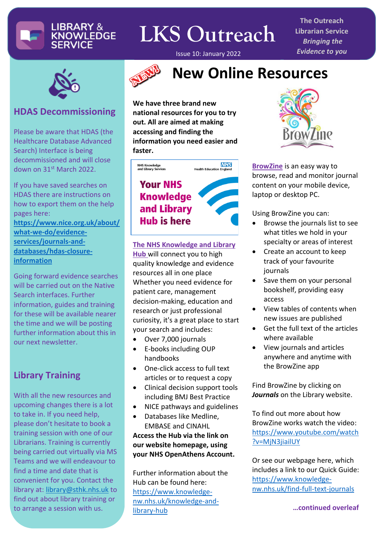

## **LKS Outreach**

Issue 10: January 2022

**The Outreach Librarian Service** *Bringing the Evidence to you*



#### **HDAS Decommissioning**

Please be aware that HDAS (the Healthcare Database Advanced Search) Interface is being decommissioned and will close down on 31st March 2022.

If you have saved searches on HDAS there are instructions on how to export them on the help pages here:

**[https://www.nice.org.uk/about/](https://www.nice.org.uk/about/what-we-do/evidence-services/journals-and-databases/hdas-closure-information) [what-we-do/evidence](https://www.nice.org.uk/about/what-we-do/evidence-services/journals-and-databases/hdas-closure-information)[services/journals-and](https://www.nice.org.uk/about/what-we-do/evidence-services/journals-and-databases/hdas-closure-information)[databases/hdas-closure](https://www.nice.org.uk/about/what-we-do/evidence-services/journals-and-databases/hdas-closure-information)[information](https://www.nice.org.uk/about/what-we-do/evidence-services/journals-and-databases/hdas-closure-information)**

Going forward evidence searches will be carried out on the Native Search interfaces. Further information, guides and training for these will be available nearer the time and we will be posting further information about this in our next newsletter.

#### **Library Training**

With all the new resources and upcoming changes there is a lot to take in. If you need help, please don't hesitate to book a training session with one of our Librarians. Training is currently being carried out virtually via MS Teams and we will endeavour to find a time and date that is convenient for you. Contact the library at: [library@sthk.nhs.uk](mailto:library@sthk.nhs.uk) to find out about library training or to arrange a session with us.



### **New Online Resources**

**We have three brand new national resources for you to try out. All are aimed at making accessing and finding the information you need easier and faster.**



#### **The NHS Knowledge and Library**

**Hub** will connect you to high quality knowledge and evidence resources all in one place Whether you need evidence for patient care, management decision-making, education and research or just professional curiosity, it's a great place to start your search and includes:

- Over 7,000 journals
- E-books including OUP handbooks
- One-click access to full text articles or to request a copy
- Clinical decision support tools including BMJ Best Practice
- NICE pathways and guidelines
- Databases like Medline, EMBASE and CINAHL **Access the Hub via the link on our website homepage, using your NHS OpenAthens Account.**

Further information about the Hub can be found here: [https://www.knowledge](https://www.knowledge-nw.nhs.uk/knowledge-and-library-hub)[nw.nhs.uk/knowledge-and](https://www.knowledge-nw.nhs.uk/knowledge-and-library-hub)[library-hub](https://www.knowledge-nw.nhs.uk/knowledge-and-library-hub)



**BrowZine** is an easy way to browse, read and monitor journal content on your mobile device, laptop or desktop PC.

Using BrowZine you can:

- Browse the journals list to see what titles we hold in your specialty or areas of interest
- Create an account to keep track of your favourite journals
- Save them on your personal bookshelf, providing easy access
- View tables of contents when new issues are published
- Get the full text of the articles where available
- View journals and articles anywhere and anytime with the BrowZine app

Find BrowZine by clicking on *Journals* on the Library website.

To find out more about how BrowZine works watch the video: [https://www.youtube.com/watch](https://www.youtube.com/watch?v=MjN3jiailUY) [?v=MjN3jiailUY](https://www.youtube.com/watch?v=MjN3jiailUY)

Or see our webpage here, which includes a link to our Quick Guide: [https://www.knowledge](https://www.knowledge-nw.nhs.uk/find-full-text-journals)[nw.nhs.uk/find-full-text-journals](https://www.knowledge-nw.nhs.uk/find-full-text-journals)

 **…continued overleaf**